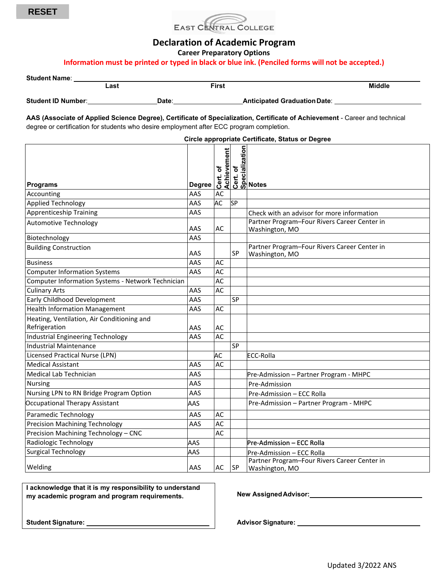



## **Declaration of Academic Program**

**Career Preparatory Options**

### **Information must be printed or typed in black or blue ink. (Penciled forms will not be accepted.)**

| <b>Student Name:</b>      |      |       |       |                                     |               |
|---------------------------|------|-------|-------|-------------------------------------|---------------|
|                           | _ast |       | First |                                     | <b>Middle</b> |
| <b>Student ID Number:</b> |      | Date: |       | <b>Anticipated Graduation Date:</b> |               |

**AAS (Associate of Applied Science Degree), Certificate of Specialization, Certificate of Achievement** - Career and technical degree or certification for students who desire employment after ECC program completion.

| Circle appropriate Certificate, Status or Degree            |               |            |           |                                                                |  |  |  |
|-------------------------------------------------------------|---------------|------------|-----------|----------------------------------------------------------------|--|--|--|
| <b>Programs</b>                                             | <b>Degree</b> | ð<br>Cert. |           | Achievement<br>Cert. of<br>Specialization<br>Specialization    |  |  |  |
| Accounting                                                  | AAS           | AC         |           |                                                                |  |  |  |
| <b>Applied Technology</b>                                   | AAS           | <b>AC</b>  | <b>SP</b> |                                                                |  |  |  |
| Apprenticeship Training<br>AAS                              |               |            |           | Check with an advisor for more information                     |  |  |  |
| <b>Automotive Technology</b>                                | AAS           | AC         |           | Partner Program-Four Rivers Career Center in<br>Washington, MO |  |  |  |
| Biotechnology                                               | AAS           |            |           |                                                                |  |  |  |
| <b>Building Construction</b>                                | AAS           |            | <b>SP</b> | Partner Program-Four Rivers Career Center in<br>Washington, MO |  |  |  |
| <b>Business</b>                                             | AAS           | AC         |           |                                                                |  |  |  |
| <b>Computer Information Systems</b>                         | AAS           | AC         |           |                                                                |  |  |  |
| Computer Information Systems - Network Technician           |               | AC         |           |                                                                |  |  |  |
| <b>Culinary Arts</b>                                        | AAS           | AC         |           |                                                                |  |  |  |
| Early Childhood Development                                 | AAS           |            | SP        |                                                                |  |  |  |
| <b>Health Information Management</b>                        | AAS           | AC         |           |                                                                |  |  |  |
| Heating, Ventilation, Air Conditioning and<br>Refrigeration | AAS           | AC         |           |                                                                |  |  |  |
| Industrial Engineering Technology                           | AAS           | AC         |           |                                                                |  |  |  |
| Industrial Maintenance                                      |               |            | <b>SP</b> |                                                                |  |  |  |
| Licensed Practical Nurse (LPN)                              |               | AC         |           | <b>ECC-Rolla</b>                                               |  |  |  |
| <b>Medical Assistant</b>                                    | AAS           | AC         |           |                                                                |  |  |  |
| Medical Lab Technician                                      | AAS           |            |           | Pre-Admission - Partner Program - MHPC                         |  |  |  |
| <b>Nursing</b>                                              | AAS           |            |           | Pre-Admission                                                  |  |  |  |
| Nursing LPN to RN Bridge Program Option                     | AAS           |            |           | Pre-Admission - ECC Rolla                                      |  |  |  |
| Occupational Therapy Assistant                              | AAS           |            |           | Pre-Admission - Partner Program - MHPC                         |  |  |  |
| Paramedic Technology                                        | AAS           | AC         |           |                                                                |  |  |  |
| <b>Precision Machining Technology</b>                       | AAS           | AC         |           |                                                                |  |  |  |
| Precision Machining Technology - CNC                        |               | <b>AC</b>  |           |                                                                |  |  |  |
| Radiologic Technology                                       | AAS           |            |           | Pre-Admission - ECC Rolla                                      |  |  |  |
| <b>Surgical Technology</b>                                  | AAS           |            |           | Pre-Admission - ECC Rolla                                      |  |  |  |
| Welding                                                     | AAS           | AC         | SP        | Partner Program-Four Rivers Career Center in<br>Washington, MO |  |  |  |

**I acknowledge that it is my responsibility to understand my academic program and program requirements.**

**New AssignedAdvisor:**

**Student Signature:**

**Advisor Signature:**